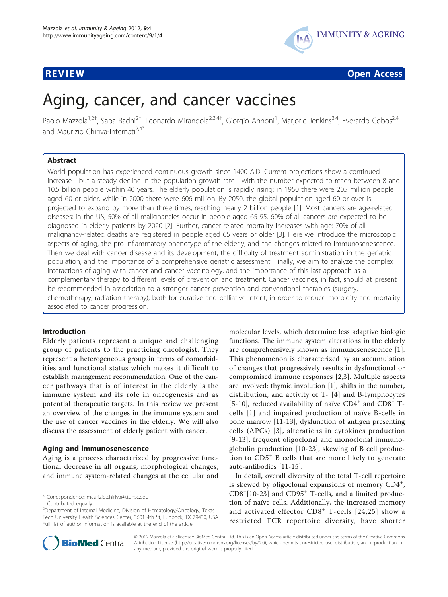

**REVIEW CONSTRUCTION CONSTRUCTION CONSTRUCTS** 

# Aging, cancer, and cancer vaccines

Paolo Mazzola<sup>1,2†</sup>, Saba Radhi<sup>2†</sup>, Leonardo Mirandola<sup>2,3,4†</sup>, Giorgio Annoni<sup>1</sup>, Marjorie Jenkins<sup>3,4</sup>, Everardo Cobos<sup>2,4</sup> and Maurizio Chiriva-Internati<sup>2,4\*</sup>

# Abstract

World population has experienced continuous growth since 1400 A.D. Current projections show a continued increase - but a steady decline in the population growth rate - with the number expected to reach between 8 and 10.5 billion people within 40 years. The elderly population is rapidly rising: in 1950 there were 205 million people aged 60 or older, while in 2000 there were 606 million. By 2050, the global population aged 60 or over is projected to expand by more than three times, reaching nearly 2 billion people [\[1](#page-8-0)]. Most cancers are age-related diseases: in the US, 50% of all malignancies occur in people aged 65-95. 60% of all cancers are expected to be diagnosed in elderly patients by 2020 [[2\]](#page-8-0). Further, cancer-related mortality increases with age: 70% of all malignancy-related deaths are registered in people aged 65 years or older [[3\]](#page-8-0). Here we introduce the microscopic aspects of aging, the pro-inflammatory phenotype of the elderly, and the changes related to immunosenescence. Then we deal with cancer disease and its development, the difficulty of treatment administration in the geriatric population, and the importance of a comprehensive geriatric assessment. Finally, we aim to analyze the complex interactions of aging with cancer and cancer vaccinology, and the importance of this last approach as a complementary therapy to different levels of prevention and treatment. Cancer vaccines, in fact, should at present be recommended in association to a stronger cancer prevention and conventional therapies (surgery, chemotherapy, radiation therapy), both for curative and palliative intent, in order to reduce morbidity and mortality associated to cancer progression.

# Introduction

Elderly patients represent a unique and challenging group of patients to the practicing oncologist. They represent a heterogeneous group in terms of comorbidities and functional status which makes it difficult to establish management recommendation. One of the cancer pathways that is of interest in the elderly is the immune system and its role in oncogenesis and as potential therapeutic targets. In this review we present an overview of the changes in the immune system and the use of cancer vaccines in the elderly. We will also discuss the assessment of elderly patient with cancer.

# Aging and immunosenescence

Aging is a process characterized by progressive functional decrease in all organs, morphological changes, and immune system-related changes at the cellular and

\* Correspondence: [maurizio.chiriva@ttuhsc.edu](mailto:maurizio.chiriva@ttuhsc.edu)

molecular levels, which determine less adaptive biologic functions. The immune system alterations in the elderly are comprehensively known as immunosenescence [[1](#page-8-0)]. This phenomenon is characterized by an accumulation of changes that progressively results in dysfunctional or compromised immune responses [\[2,3](#page-8-0)]. Multiple aspects are involved: thymic involution [\[1\]](#page-8-0), shifts in the number, distribution, and activity of T- [[4](#page-8-0)] and B-lymphocytes [[5-10\]](#page-8-0), reduced availability of naïve  $CD4^+$  and  $CD8^+$  Tcells [[1\]](#page-8-0) and impaired production of naïve B-cells in bone marrow [[11-13](#page-8-0)], dysfunction of antigen presenting cells (APCs) [[3](#page-8-0)], alterations in cytokines production [[9](#page-8-0)-[13](#page-8-0)], frequent oligoclonal and monoclonal immunoglobulin production [[10](#page-8-0)-[23](#page-8-0)], skewing of B cell production to  $CD5<sup>+</sup>$  B cells that are more likely to generate auto-antibodies [\[11-15](#page-8-0)].

In detail, overall diversity of the total T-cell repertoire is skewed by oligoclonal expansions of memory CD4<sup>+</sup>, CD8<sup>+</sup> [\[10](#page-8-0)-[23](#page-8-0)] and CD95<sup>+</sup> T-cells, and a limited production of naïve cells. Additionally, the increased memory and activated effector CD8<sup>+</sup> T-cells [[24](#page-8-0),[25\]](#page-8-0) show a restricted TCR repertoire diversity, have shorter



© 2012 Mazzola et al; licensee BioMed Central Ltd. This is an Open Access article distributed under the terms of the Creative Commons Attribution License [\(http://creativecommons.org/licenses/by/2.0](http://creativecommons.org/licenses/by/2.0)), which permits unrestricted use, distribution, and reproduction in any medium, provided the original work is properly cited.

<sup>†</sup> Contributed equally <sup>2</sup>

Department of Internal Medicine, Division of Hematology/Oncology, Texas Tech University Health Sciences Center, 3601 4th St, Lubbock, TX 79430, USA Full list of author information is available at the end of the article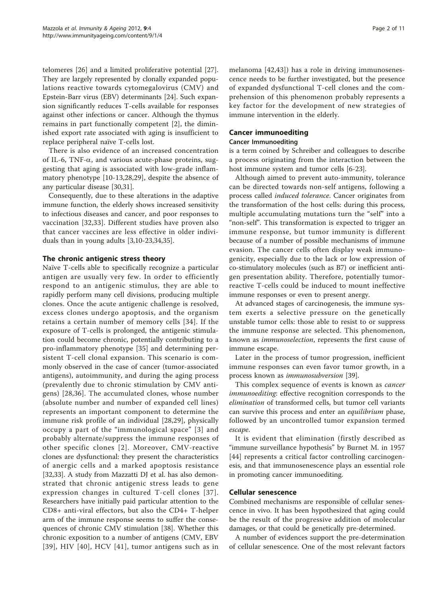telomeres [[26](#page-9-0)] and a limited proliferative potential [\[27](#page-9-0)]. They are largely represented by clonally expanded populations reactive towards cytomegalovirus (CMV) and Epstein-Barr virus (EBV) determinants [\[24](#page-8-0)]. Such expansion significantly reduces T-cells available for responses against other infections or cancer. Although the thymus remains in part functionally competent [\[2](#page-8-0)], the diminished export rate associated with aging is insufficient to replace peripheral naïve T-cells lost.

There is also evidence of an increased concentration of IL-6, TNF- $\alpha$ , and various acute-phase proteins, suggesting that aging is associated with low-grade inflammatory phenotype [[10-13,](#page-8-0)[28,29](#page-9-0)], despite the absence of any particular disease [\[30,31\]](#page-9-0).

Consequently, due to these alterations in the adaptive immune function, the elderly shows increased sensitivity to infectious diseases and cancer, and poor responses to vaccination [[32,33\]](#page-9-0). Different studies have proven also that cancer vaccines are less effective in older individuals than in young adults [[3](#page-8-0),[10](#page-8-0)-[23,](#page-8-0)[34,35](#page-9-0)].

# The chronic antigenic stress theory

Naïve T-cells able to specifically recognize a particular antigen are usually very few. In order to efficiently respond to an antigenic stimulus, they are able to rapidly perform many cell divisions, producing multiple clones. Once the acute antigenic challenge is resolved, excess clones undergo apoptosis, and the organism retains a certain number of memory cells [[34](#page-9-0)]. If the exposure of T-cells is prolonged, the antigenic stimulation could become chronic, potentially contributing to a pro-inflammatory phenotype [[35](#page-9-0)] and determining persistent T-cell clonal expansion. This scenario is commonly observed in the case of cancer (tumor-associated antigens), autoimmunity, and during the aging process (prevalently due to chronic stimulation by CMV antigens) [[28,36\]](#page-9-0). The accumulated clones, whose number (absolute number and number of expanded cell lines) represents an important component to determine the immune risk profile of an individual [\[28](#page-9-0),[29\]](#page-9-0), physically occupy a part of the "immunological space" [[3](#page-8-0)] and probably alternate/suppress the immune responses of other specific clones [[2](#page-8-0)]. Moreover, CMV-reactive clones are dysfunctional: they present the characteristics of anergic cells and a marked apoptosis resistance [[32,33\]](#page-9-0). A study from Mazzatti DJ et al. has also demonstrated that chronic antigenic stress leads to gene expression changes in cultured T-cell clones [[37\]](#page-9-0). Researchers have initially paid particular attention to the CD8+ anti-viral effectors, but also the CD4+ T-helper arm of the immune response seems to suffer the consequences of chronic CMV stimulation [[38](#page-9-0)]. Whether this chronic exposition to a number of antigens (CMV, EBV [[39\]](#page-9-0), HIV [[40](#page-9-0)], HCV [[41\]](#page-9-0), tumor antigens such as in melanoma [[42,43](#page-9-0)]) has a role in driving immunosenescence needs to be further investigated, but the presence of expanded dysfunctional T-cell clones and the comprehension of this phenomenon probably represents a key factor for the development of new strategies of immune intervention in the elderly.

# Cancer immunoediting

# Cancer Immunoediting

is a term coined by Schreiber and colleagues to describe a process originating from the interaction between the host immune system and tumor cells [[6-23](#page-8-0)].

Although aimed to prevent auto-immunity, tolerance can be directed towards non-self antigens, following a process called induced tolerance. Cancer originates from the transformation of the host cells: during this process, multiple accumulating mutations turn the "self" into a "non-self". This transformation is expected to trigger an immune response, but tumor immunity is different because of a number of possible mechanisms of immune evasion. The cancer cells often display weak immunogenicity, especially due to the lack or low expression of co-stimulatory molecules (such as B7) or inefficient antigen presentation ability. Therefore, potentially tumorreactive T-cells could be induced to mount ineffective immune responses or even to present anergy.

At advanced stages of carcinogenesis, the immune system exerts a selective pressure on the genetically unstable tumor cells: those able to resist to or suppress the immune response are selected. This phenomenon, known as immunoselection, represents the first cause of immune escape.

Later in the process of tumor progression, inefficient immune responses can even favor tumor growth, in a process known as immunosubversion [[39](#page-9-0)].

This complex sequence of events is known as *cancer* immunoediting: effective recognition corresponds to the elimination of transformed cells, but tumor cell variants can survive this process and enter an *equilibrium* phase, followed by an uncontrolled tumor expansion termed escape.

It is evident that elimination (firstly described as "immune surveillance hypothesis" by Burnet M. in 1957 [[44](#page-9-0)] represents a critical factor controlling carcinogenesis, and that immunosenescence plays an essential role in promoting cancer immunoediting.

# Cellular senescence

Combined mechanisms are responsible of cellular senescence in vivo. It has been hypothesized that aging could be the result of the progressive addition of molecular damages, or that could be genetically pre-determined.

A number of evidences support the pre-determination of cellular senescence. One of the most relevant factors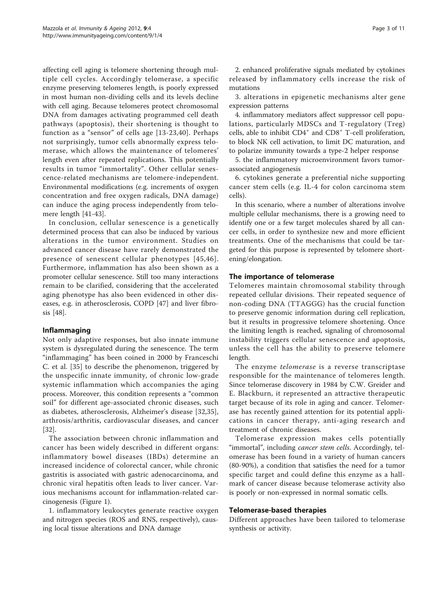affecting cell aging is telomere shortening through multiple cell cycles. Accordingly telomerase, a specific enzyme preserving telomeres length, is poorly expressed in most human non-dividing cells and its levels decline with cell aging. Because telomeres protect chromosomal DNA from damages activating programmed cell death pathways (apoptosis), their shortening is thought to function as a "sensor" of cells age [[13-23](#page-8-0)[,40\]](#page-9-0). Perhaps not surprisingly, tumor cells abnormally express telomerase, which allows the maintenance of telomeres' length even after repeated replications. This potentially results in tumor "immortality". Other cellular senescence-related mechanisms are telomere-independent. Environmental modifications (e.g. increments of oxygen concentration and free oxygen radicals, DNA damage) can induce the aging process independently from telomere length [\[41](#page-9-0)-[43](#page-9-0)].

In conclusion, cellular senescence is a genetically determined process that can also be induced by various alterations in the tumor environment. Studies on advanced cancer disease have rarely demonstrated the presence of senescent cellular phenotypes [[45](#page-9-0),[46\]](#page-9-0). Furthermore, inflammation has also been shown as a promoter cellular senescence. Still too many interactions remain to be clarified, considering that the accelerated aging phenotype has also been evidenced in other diseases, e.g. in atherosclerosis, COPD [\[47](#page-9-0)] and liver fibrosis [\[48\]](#page-9-0).

# Inflammaging

Not only adaptive responses, but also innate immune system is dysregulated during the senescence. The term "inflammaging" has been coined in 2000 by Franceschi C. et al. [\[35](#page-9-0)] to describe the phenomenon, triggered by the unspecific innate immunity, of chronic low-grade systemic inflammation which accompanies the aging process. Moreover, this condition represents a "common soil" for different age-associated chronic diseases, such as diabetes, atherosclerosis, Alzheimer's disease [[32,35](#page-9-0)], arthrosis/arthritis, cardiovascular diseases, and cancer [[32\]](#page-9-0).

The association between chronic inflammation and cancer has been widely described in different organs: inflammatory bowel diseases (IBDs) determine an increased incidence of colorectal cancer, while chronic gastritis is associated with gastric adenocarcinoma, and chronic viral hepatitis often leads to liver cancer. Various mechanisms account for inflammation-related carcinogenesis (Figure [1](#page-3-0)).

1. inflammatory leukocytes generate reactive oxygen and nitrogen species (ROS and RNS, respectively), causing local tissue alterations and DNA damage

2. enhanced proliferative signals mediated by cytokines released by inflammatory cells increase the risk of mutations

3. alterations in epigenetic mechanisms alter gene expression patterns

4. inflammatory mediators affect suppressor cell populations, particularly MDSCs and T-regulatory (Treg) cells, able to inhibit  $CD4^+$  and  $CD8^+$  T-cell proliferation, to block NK cell activation, to limit DC maturation, and to polarize immunity towards a type-2 helper response

5. the inflammatory microenvironment favors tumorassociated angiogenesis

6. cytokines generate a preferential niche supporting cancer stem cells (e.g. IL-4 for colon carcinoma stem cells).

In this scenario, where a number of alterations involve multiple cellular mechanisms, there is a growing need to identify one or a few target molecules shared by all cancer cells, in order to synthesize new and more efficient treatments. One of the mechanisms that could be targeted for this purpose is represented by telomere shortening/elongation.

# The importance of telomerase

Telomeres maintain chromosomal stability through repeated cellular divisions. Their repeated sequence of non-coding DNA (TTAGGG) has the crucial function to preserve genomic information during cell replication, but it results in progressive telomere shortening. Once the limiting length is reached, signaling of chromosomal instability triggers cellular senescence and apoptosis, unless the cell has the ability to preserve telomere length.

The enzyme telomerase is a reverse transcriptase responsible for the maintenance of telomeres length. Since telomerase discovery in 1984 by C.W. Greider and E. Blackburn, it represented an attractive therapeutic target because of its role in aging and cancer. Telomerase has recently gained attention for its potential applications in cancer therapy, anti-aging research and treatment of chronic diseases.

Telomerase expression makes cells potentially "immortal", including *cancer stem cells*. Accordingly, telomerase has been found in a variety of human cancers (80-90%), a condition that satisfies the need for a tumor specific target and could define this enzyme as a hallmark of cancer disease because telomerase activity also is poorly or non-expressed in normal somatic cells.

# Telomerase-based therapies

Different approaches have been tailored to telomerase synthesis or activity.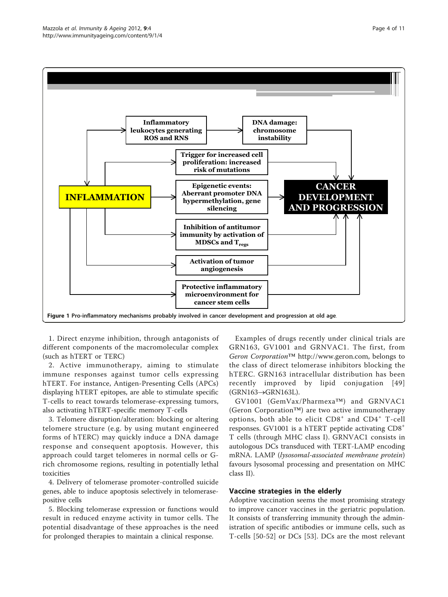<span id="page-3-0"></span>

1. Direct enzyme inhibition, through antagonists of different components of the macromolecular complex (such as hTERT or TERC)

2. Active immunotherapy, aiming to stimulate immune responses against tumor cells expressing hTERT. For instance, Antigen-Presenting Cells (APCs) displaying hTERT epitopes, are able to stimulate specific T-cells to react towards telomerase-expressing tumors, also activating hTERT-specific memory T-cells

3. Telomere disruption/alteration: blocking or altering telomere structure (e.g. by using mutant engineered forms of hTERC) may quickly induce a DNA damage response and consequent apoptosis. However, this approach could target telomeres in normal cells or Grich chromosome regions, resulting in potentially lethal toxicities

4. Delivery of telomerase promoter-controlled suicide genes, able to induce apoptosis selectively in telomerasepositive cells

5. Blocking telomerase expression or functions would result in reduced enzyme activity in tumor cells. The potential disadvantage of these approaches is the need for prolonged therapies to maintain a clinical response.

Examples of drugs recently under clinical trials are GRN163, GV1001 and GRNVAC1. The first, from Geron Corporation™ [http://www.geron.com,](http://www.geron.com) belongs to the class of direct telomerase inhibitors blocking the hTERC. GRN163 intracellular distribution has been recently improved by lipid conjugation [[49](#page-9-0)]  $(GRN163 \rightarrow GRN163L)$ .

GV1001 (GemVax/Pharmexa™) and GRNVAC1 (Geron Corporation™) are two active immunotherapy options, both able to elicit CD8<sup>+</sup> and CD4<sup>+</sup> T-cell responses. GV1001 is a hTERT peptide activating CD8<sup>+</sup> T cells (through MHC class I). GRNVAC1 consists in autologous DCs transduced with TERT-LAMP encoding mRNA. LAMP (lysosomal-associated membrane protein) favours lysosomal processing and presentation on MHC class II).

# Vaccine strategies in the elderly

Adoptive vaccination seems the most promising strategy to improve cancer vaccines in the geriatric population. It consists of transferring immunity through the administration of specific antibodies or immune cells, such as T-cells [[50](#page-9-0)-[52\]](#page-9-0) or DCs [[53\]](#page-9-0). DCs are the most relevant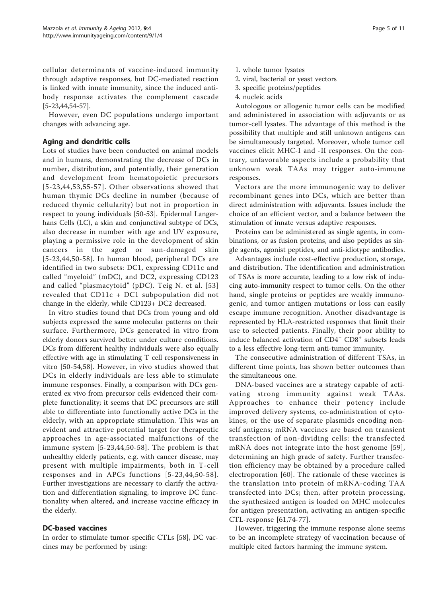cellular determinants of vaccine-induced immunity through adaptive responses, but DC-mediated reaction is linked with innate immunity, since the induced antibody response activates the complement cascade [[5-23](#page-8-0)[,44,54-57](#page-9-0)].

However, even DC populations undergo important changes with advancing age.

# Aging and dendritic cells

Lots of studies have been conducted on animal models and in humans, demonstrating the decrease of DCs in number, distribution, and potentially, their generation and development from hematopoietic precursors [[5-23](#page-8-0),[44,53](#page-9-0),[55-57](#page-9-0)]. Other observations showed that human thymic DCs decline in number (because of reduced thymic cellularity) but not in proportion in respect to young individuals [[50-53](#page-9-0)]. Epidermal Langerhans Cells (LC), a skin and conjunctival subtype of DCs, also decrease in number with age and UV exposure, playing a permissive role in the development of skin cancers in the aged or sun-damaged skin [[5](#page-8-0)-[23,](#page-8-0)[44,50-58\]](#page-9-0). In human blood, peripheral DCs are identified in two subsets: DC1, expressing CD11c and called "myeloid" (mDC), and DC2, expressing CD123 and called "plasmacytoid" (pDC). Teig N. et al. [[53](#page-9-0)] revealed that CD11c + DC1 subpopulation did not change in the elderly, while CD123+ DC2 decreased.

In vitro studies found that DCs from young and old subjects expressed the same molecular patterns on their surface. Furthermore, DCs generated in vitro from elderly donors survived better under culture conditions. DCs from different healthy individuals were also equally effective with age in stimulating T cell responsiveness in vitro [[50-54,58](#page-9-0)]. However, in vivo studies showed that DCs in elderly individuals are less able to stimulate immune responses. Finally, a comparison with DCs generated ex vivo from precursor cells evidenced their complete functionality; it seems that DC precursors are still able to differentiate into functionally active DCs in the elderly, with an appropriate stimulation. This was an evident and attractive potential target for therapeutic approaches in age-associated malfunctions of the immune system [[5](#page-8-0)-[23](#page-8-0),[44](#page-9-0),[50](#page-9-0)-[58\]](#page-9-0). The problem is that unhealthy elderly patients, e.g. with cancer disease, may present with multiple impairments, both in T-cell responses and in APCs functions [[5-23](#page-8-0),[44,50](#page-9-0)-[58\]](#page-9-0). Further investigations are necessary to clarify the activation and differentiation signaling, to improve DC functionality when altered, and increase vaccine efficacy in the elderly.

# DC-based vaccines

In order to stimulate tumor-specific CTLs [\[58\]](#page-9-0), DC vaccines may be performed by using:

- 1. whole tumor lysates
- 2. viral, bacterial or yeast vectors
- 3. specific proteins/peptides
- 4. nucleic acids

Autologous or allogenic tumor cells can be modified and administered in association with adjuvants or as tumor-cell lysates. The advantage of this method is the possibility that multiple and still unknown antigens can be simultaneously targeted. Moreover, whole tumor cell vaccines elicit MHC-I and -II responses. On the contrary, unfavorable aspects include a probability that unknown weak TAAs may trigger auto-immune responses.

Vectors are the more immunogenic way to deliver recombinant genes into DCs, which are better than direct administration with adjuvants. Issues include the choice of an efficient vector, and a balance between the stimulation of innate versus adaptive responses.

Proteins can be administered as single agents, in combinations, or as fusion proteins, and also peptides as single agents, agonist peptides, and anti-idiotype antibodies.

Advantages include cost-effective production, storage, and distribution. The identification and administration of TSAs is more accurate, leading to a low risk of inducing auto-immunity respect to tumor cells. On the other hand, single proteins or peptides are weakly immunogenic, and tumor antigen mutations or loss can easily escape immune recognition. Another disadvantage is represented by HLA-restricted responses that limit their use to selected patients. Finally, their poor ability to induce balanced activation of  $CD4^+$   $CD8^+$  subsets leads to a less effective long-term anti-tumor immunity.

The consecutive administration of different TSAs, in different time points, has shown better outcomes than the simultaneous one.

DNA-based vaccines are a strategy capable of activating strong immunity against weak TAAs. Approaches to enhance their potency include improved delivery systems, co-administration of cytokines, or the use of separate plasmids encoding nonself antigens; mRNA vaccines are based on transient transfection of non-dividing cells: the transfected mRNA does not integrate into the host genome [[59\]](#page-9-0), determining an high grade of safety. Further transfection efficiency may be obtained by a procedure called electroporation [\[60](#page-9-0)]. The rationale of these vaccines is the translation into protein of mRNA-coding TAA transfected into DCs; then, after protein processing, the synthesized antigen is loaded on MHC molecules for antigen presentation, activating an antigen-specific CTL-response [[61](#page-9-0)[,74](#page-10-0)-[77](#page-10-0)].

However, triggering the immune response alone seems to be an incomplete strategy of vaccination because of multiple cited factors harming the immune system.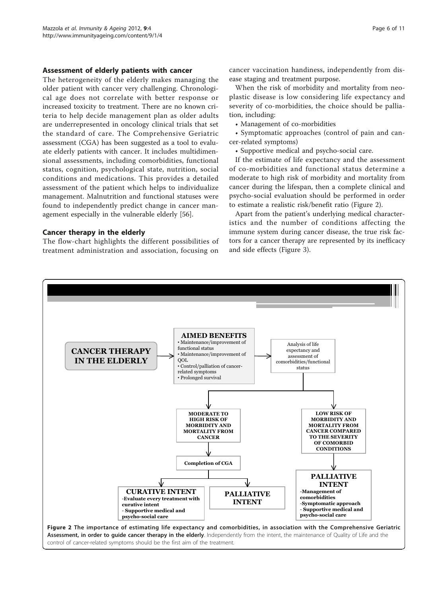# Assessment of elderly patients with cancer

The heterogeneity of the elderly makes managing the older patient with cancer very challenging. Chronological age does not correlate with better response or increased toxicity to treatment. There are no known criteria to help decide management plan as older adults are underrepresented in oncology clinical trials that set the standard of care. The Comprehensive Geriatric assessment (CGA) has been suggested as a tool to evaluate elderly patients with cancer. It includes multidimensional assessments, including comorbidities, functional status, cognition, psychological state, nutrition, social conditions and medications. This provides a detailed assessment of the patient which helps to individualize management. Malnutrition and functional statuses were found to independently predict change in cancer management especially in the vulnerable elderly [\[56\]](#page-9-0).

# Cancer therapy in the elderly

The flow-chart highlights the different possibilities of treatment administration and association, focusing on

cancer vaccination handiness, independently from disease staging and treatment purpose.

When the risk of morbidity and mortality from neoplastic disease is low considering life expectancy and severity of co-morbidities, the choice should be palliation, including:

• Management of co-morbidities

• Symptomatic approaches (control of pain and cancer-related symptoms)

• Supportive medical and psycho-social care.

If the estimate of life expectancy and the assessment of co-morbidities and functional status determine a moderate to high risk of morbidity and mortality from cancer during the lifespan, then a complete clinical and psycho-social evaluation should be performed in order to estimate a realistic risk/benefit ratio (Figure 2).

Apart from the patient's underlying medical characteristics and the number of conditions affecting the immune system during cancer disease, the true risk factors for a cancer therapy are represented by its inefficacy and side effects (Figure [3\)](#page-6-0).

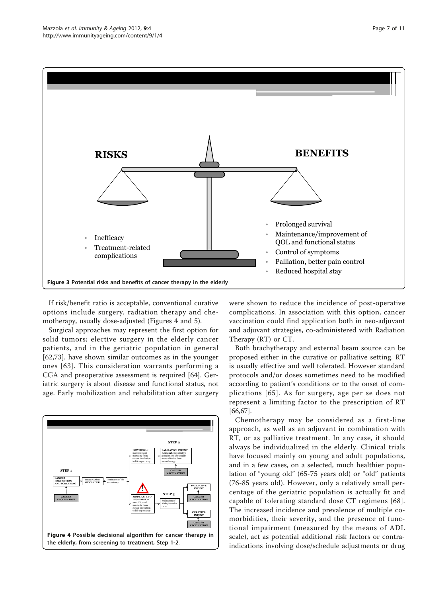<span id="page-6-0"></span>

If risk/benefit ratio is acceptable, conventional curative options include surgery, radiation therapy and chemotherapy, usually dose-adjusted (Figures 4 and [5](#page-7-0)).

Surgical approaches may represent the first option for solid tumors; elective surgery in the elderly cancer patients, and in the geriatric population in general [[62,](#page-9-0)[73\]](#page-10-0), have shown similar outcomes as in the younger ones [[63\]](#page-9-0). This consideration warrants performing a CGA and preoperative assessment is required [[64\]](#page-9-0). Geriatric surgery is about disease and functional status, not age. Early mobilization and rehabilitation after surgery



were shown to reduce the incidence of post-operative complications. In association with this option, cancer vaccination could find application both in neo-adjuvant and adjuvant strategies, co-administered with Radiation Therapy (RT) or CT.

Both brachytherapy and external beam source can be proposed either in the curative or palliative setting. RT is usually effective and well tolerated. However standard protocols and/or doses sometimes need to be modified according to patient's conditions or to the onset of complications [[65\]](#page-9-0). As for surgery, age per se does not represent a limiting factor to the prescription of RT [[66,67\]](#page-9-0).

Chemotherapy may be considered as a first-line approach, as well as an adjuvant in combination with RT, or as palliative treatment. In any case, it should always be individualized in the elderly. Clinical trials have focused mainly on young and adult populations, and in a few cases, on a selected, much healthier population of "young old" (65-75 years old) or "old" patients (76-85 years old). However, only a relatively small percentage of the geriatric population is actually fit and capable of tolerating standard dose CT regimens [[68](#page-9-0)]. The increased incidence and prevalence of multiple comorbidities, their severity, and the presence of functional impairment (measured by the means of ADL scale), act as potential additional risk factors or contraindications involving dose/schedule adjustments or drug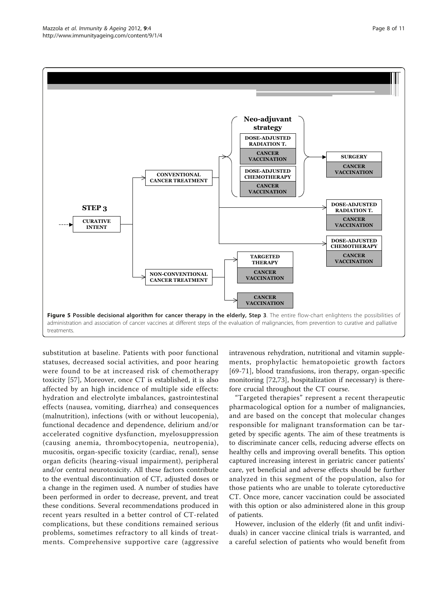<span id="page-7-0"></span>

substitution at baseline. Patients with poor functional statuses, decreased social activities, and poor hearing were found to be at increased risk of chemotherapy toxicity [\[57](#page-9-0)], Moreover, once CT is established, it is also affected by an high incidence of multiple side effects: hydration and electrolyte imbalances, gastrointestinal effects (nausea, vomiting, diarrhea) and consequences (malnutrition), infections (with or without leucopenia), functional decadence and dependence, delirium and/or accelerated cognitive dysfunction, myelosuppression (causing anemia, thrombocytopenia, neutropenia), mucositis, organ-specific toxicity (cardiac, renal), sense organ deficits (hearing-visual impairment), peripheral and/or central neurotoxicity. All these factors contribute to the eventual discontinuation of CT, adjusted doses or a change in the regimen used. A number of studies have been performed in order to decrease, prevent, and treat these conditions. Several recommendations produced in recent years resulted in a better control of CT-related complications, but these conditions remained serious problems, sometimes refractory to all kinds of treatments. Comprehensive supportive care (aggressive

intravenous rehydration, nutritional and vitamin supplements, prophylactic hematopoietic growth factors [[69-71\]](#page-9-0), blood transfusions, iron therapy, organ-specific monitoring [\[72,](#page-9-0)[73\]](#page-10-0), hospitalization if necessary) is therefore crucial throughout the CT course.

"Targeted therapies" represent a recent therapeutic pharmacological option for a number of malignancies, and are based on the concept that molecular changes responsible for malignant transformation can be targeted by specific agents. The aim of these treatments is to discriminate cancer cells, reducing adverse effects on healthy cells and improving overall benefits. This option captured increasing interest in geriatric cancer patients' care, yet beneficial and adverse effects should be further analyzed in this segment of the population, also for those patients who are unable to tolerate cytoreductive CT. Once more, cancer vaccination could be associated with this option or also administered alone in this group of patients.

However, inclusion of the elderly (fit and unfit individuals) in cancer vaccine clinical trials is warranted, and a careful selection of patients who would benefit from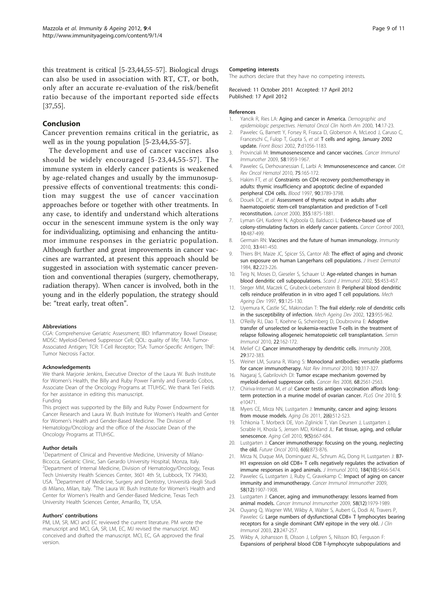<span id="page-8-0"></span>this treatment is critical [5-23,[44,55](#page-9-0)-[57\]](#page-9-0). Biological drugs can also be used in association with RT, CT, or both, only after an accurate re-evaluation of the risk/benefit ratio because of the important reported side effects [[37,55\]](#page-9-0).

# Conclusion

Cancer prevention remains critical in the geriatric, as well as in the young population [5-23,[44,55](#page-9-0)-[57](#page-9-0)].

The development and use of cancer vaccines also should be widely encouraged [5-23,[44](#page-9-0),[55-57](#page-9-0)]. The immune system in elderly cancer patients is weakened by age-related changes and usually by the immunosuppressive effects of conventional treatments: this condition may suggest the use of cancer vaccination approaches before or together with other treatments. In any case, to identify and understand which alterations occur in the senescent immune system is the only way for individualizing, optimising and enhancing the antitumor immune responses in the geriatric population. Although further and great improvements in cancer vaccines are warranted, at present this approach should be suggested in association with systematic cancer prevention and conventional therapies (surgery, chemotherapy, radiation therapy). When cancer is involved, both in the young and in the elderly population, the strategy should be: "treat early, treat often".

## Abbreviations

CGA: Comprehensive Geriatric Assessment; IBD: Inflammatory Bowel Disease; MDSC: Myeloid-Derived Suppressor Cell; QOL: quality of life; TAA: Tumor-Associated Antigen; TCR: T-Cell Receptor; TSA: Tumor-Specific Antigen; TNF: Tumor Necrosis Factor.

#### Acknowledgements

We thank Marjorie Jenkins, Executive Director of the Laura W. Bush Institute for Women's Health, the Billy and Ruby Power Family and Everardo Cobos, Associate Dean of the Oncology Programs at TTUHSC. We thank Teri Fields for her assistance in editing this manuscript. Funding

This project was supported by the Billy and Ruby Power Endowment for Cancer Research and Laura W. Bush Institute for Women's Health and Center for Women's Health and Gender-Based Medicine. The Division of Hematology/Oncology and the office of the Associate Dean of the Oncology Programs at TTUHSC.

# Author details

<sup>1</sup>Department of Clinical and Preventive Medicine, University of Milano-Bicocca, Geriatric Clinic, San Gerardo University Hospital, Monza, Italy. <sup>2</sup>Department of Internal Medicine, Division of Hematology/Oncology, Texas Tech University Health Sciences Center, 3601 4th St, Lubbock, TX 79430, USA. <sup>3</sup>Department of Medicine, Surgery and Dentistry, Università degli Studi di Milano, Milan, Italy. <sup>4</sup>The Laura W. Bush Institute for Women's Health and Center for Women's Health and Gender-Based Medicine, Texas Tech University Health Sciences Center, Amarillo, TX, USA.

# Authors' contributions

PM, LM, SR, MCI and EC reviewed the current literature. PM wrote the manuscript and MCI, GA, SR, LM, EC, MJ revised the manuscript. MCI conceived and drafted the manuscript. MCI, EC, GA approved the final version.

## Competing interests

The authors declare that they have no competing interests.

Received: 11 October 2011 Accepted: 17 April 2012 Published: 17 April 2012

#### References

- 1. Yancik R, Ries LA: Aging and cancer in America. Demographic and epidemiologic perspectives. Hematol Oncol Clin North Am 2000, 14:17-23.
- 2. Pawelec G, Barnett Y, Forsey R, Frasca D, Globerson A, McLeod J, Caruso C, Franceschi C, Fulop T, Gupta S, et al: [T cells and aging, January 2002](http://www.ncbi.nlm.nih.gov/pubmed/11991846?dopt=Abstract) [update.](http://www.ncbi.nlm.nih.gov/pubmed/11991846?dopt=Abstract) Front Biosci 2002, 7:d1056-1183.
- 3. Provinciali M: [Immunosenescence and cancer vaccines.](http://www.ncbi.nlm.nih.gov/pubmed/19198836?dopt=Abstract) Cancer Immunol Immunother 2009, 58:1959-1967.
- 4. Pawelec G, Derhovanessian E, Larbi A: [Immunosenescence and cancer.](http://www.ncbi.nlm.nih.gov/pubmed/20656212?dopt=Abstract) Crit Rev Oncol Hematol 2010, 75:165-172.
- 5. Hakim FT, et al: [Constraints on CD4 recovery postchemotherapy in](http://www.ncbi.nlm.nih.gov/pubmed/9345067?dopt=Abstract) [adults: thymic insufficiency and apoptotic decline of expanded](http://www.ncbi.nlm.nih.gov/pubmed/9345067?dopt=Abstract) [peripheral CD4 cells.](http://www.ncbi.nlm.nih.gov/pubmed/9345067?dopt=Abstract) Blood 1997, 90:3789-3798.
- 6. Douek DC, et al: [Assessment of thymic output in adults after](http://www.ncbi.nlm.nih.gov/pubmed/10866444?dopt=Abstract) [haematopoietic stem-cell transplantation and prediction of T-cell](http://www.ncbi.nlm.nih.gov/pubmed/10866444?dopt=Abstract) [reconstitution.](http://www.ncbi.nlm.nih.gov/pubmed/10866444?dopt=Abstract) Lancet 2000, 355:1875-1881.
- 7. Lyman GH, Kuderer N, Agboola O, Balducci L: [Evidence-based use of](http://www.ncbi.nlm.nih.gov/pubmed/14652525?dopt=Abstract) [colony-stimulating factors in elderly cancer patients.](http://www.ncbi.nlm.nih.gov/pubmed/14652525?dopt=Abstract) Cancer Control 2003, 10:487-499.
- Germain RN: [Vaccines and the future of human immunology.](http://www.ncbi.nlm.nih.gov/pubmed/21029956?dopt=Abstract) Immunity 2010, 33:441-450.
- 9. Thiers BH, Maize JC, Spicer SS, Cantor AB: [The effect of aging and chronic](http://www.ncbi.nlm.nih.gov/pubmed/6199432?dopt=Abstract) [sun exposure on human Langerhans cell populations.](http://www.ncbi.nlm.nih.gov/pubmed/6199432?dopt=Abstract) J Invest Dermatol 1984, 82:223-226.
- 10. Teig N, Moses D, Gieseler S, Schauer U: [Age-related changes in human](http://www.ncbi.nlm.nih.gov/pubmed/11975756?dopt=Abstract) [blood dendritic cell subpopulations.](http://www.ncbi.nlm.nih.gov/pubmed/11975756?dopt=Abstract) Scand J Immunol 2002, 55:453-457.
- 11. Steger MM, Maczek C, Grubeck-Loebenstein B: [Peripheral blood dendritic](http://www.ncbi.nlm.nih.gov/pubmed/9089577?dopt=Abstract) [cells reinduce proliferation in in vitro aged T cell populations.](http://www.ncbi.nlm.nih.gov/pubmed/9089577?dopt=Abstract) Mech Ageing Dev 1997, 93:125-130.
- 12. Uyemura K, Castle SC, Makinodan T: [The frail elderly: role of dendritic cells](http://www.ncbi.nlm.nih.gov/pubmed/12044944?dopt=Abstract) [in the susceptibility of infection.](http://www.ncbi.nlm.nih.gov/pubmed/12044944?dopt=Abstract) Mech Ageing Dev 2002, 123:955-962.
- 13. O'Reilly RJ, Dao T, Koehne G, Scheinberg D, Doubrovina E: [Adoptive](http://www.ncbi.nlm.nih.gov/pubmed/20537908?dopt=Abstract) [transfer of unselected or leukemia-reactive T-cells in the treatment of](http://www.ncbi.nlm.nih.gov/pubmed/20537908?dopt=Abstract) [relapse following allogeneic hematopoietic cell transplantation.](http://www.ncbi.nlm.nih.gov/pubmed/20537908?dopt=Abstract) Semin Immunol 2010, 22:162-172.
- 14. Melief CJ: Cancer immunotherapy [by dendritic cells.](http://www.ncbi.nlm.nih.gov/pubmed/18799145?dopt=Abstract) Immunity 2008, 29:372-383.
- 15. Weiner LM, Surana R, Wang S: [Monoclonal antibodies: versatile platforms](http://www.ncbi.nlm.nih.gov/pubmed/20414205?dopt=Abstract) [for cancer immunotherapy.](http://www.ncbi.nlm.nih.gov/pubmed/20414205?dopt=Abstract) Nat Rev Immunol 2010, 10:317-327.
- 16. Nagaraj S, Gabrilovich DI: [Tumor escape mechanism governed by](http://www.ncbi.nlm.nih.gov/pubmed/18413722?dopt=Abstract) [myeloid-derived suppressor cells.](http://www.ncbi.nlm.nih.gov/pubmed/18413722?dopt=Abstract) Cancer Res 2008, 68:2561-2563.
- 17. Chiriva-Internati M, et al: [Cancer testis antigen vaccination affords long](http://www.ncbi.nlm.nih.gov/pubmed/20485677?dopt=Abstract)[term protection in a murine model of ovarian cancer.](http://www.ncbi.nlm.nih.gov/pubmed/20485677?dopt=Abstract) PLoS One 2010, 5: e10471.
- 18. Myers CE, Mirza NN, Lustgarten J: [Immunity, cancer and aging: lessons](http://www.ncbi.nlm.nih.gov/pubmed/22396898?dopt=Abstract) [from mouse models.](http://www.ncbi.nlm.nih.gov/pubmed/22396898?dopt=Abstract) Aging Dis 2011, 2(6):512-523.
- 19. Tchkonia T, Morbeck DE, Von Zglinicki T, Van Deursen J, Lustgarten J, Scrable H, Khosla S, Jensen MD, Kirkland JL: [Fat tissue, aging, and cellular](http://www.ncbi.nlm.nih.gov/pubmed/20701600?dopt=Abstract) [senescence.](http://www.ncbi.nlm.nih.gov/pubmed/20701600?dopt=Abstract) Aging Cell 2010, 9(5):667-684.
- 20. Lustgarten J: [Cancer immunotherapy: focusing on the young, neglecting](http://www.ncbi.nlm.nih.gov/pubmed/20528222?dopt=Abstract) [the old.](http://www.ncbi.nlm.nih.gov/pubmed/20528222?dopt=Abstract) Future Oncol 2010, 6(6):873-876.
- 21. Mirza N, Duque MA, Dominguez AL, Schrum AG, Dong H, Lustgarten J: [B7-](http://www.ncbi.nlm.nih.gov/pubmed/20375308?dopt=Abstract) [H1 expression on old CD8+ T cells negatively regulates the activation of](http://www.ncbi.nlm.nih.gov/pubmed/20375308?dopt=Abstract) [immune responses in aged animals.](http://www.ncbi.nlm.nih.gov/pubmed/20375308?dopt=Abstract) J Immunol 2010, 184(10):5466-5474.
- 22. Pawelec G, Lustgarten J, Ruby C, Gravekamp C: [Impact of aging on cancer](http://www.ncbi.nlm.nih.gov/pubmed/19787858?dopt=Abstract) [immunity and immunotherapy.](http://www.ncbi.nlm.nih.gov/pubmed/19787858?dopt=Abstract) Cancer Immunol Immunother 2009, 58(12):1907-1908.
- 23. Lustgarten J: [Cancer, aging and immunotherapy: lessons learned from](http://www.ncbi.nlm.nih.gov/pubmed/19238382?dopt=Abstract) [animal models.](http://www.ncbi.nlm.nih.gov/pubmed/19238382?dopt=Abstract) Cancer Immunol Immunother 2009, 58(12):1979-1989.
- 24. Ouyang Q, Wagner WM, Wikby A, Walter S, Aubert G, Dodi AI, Travers P, Pawelec G: [Large numbers of dysfunctional CD8+ T lymphocytes bearing](http://www.ncbi.nlm.nih.gov/pubmed/12959217?dopt=Abstract) [receptors for a single dominant CMV epitope in the very old.](http://www.ncbi.nlm.nih.gov/pubmed/12959217?dopt=Abstract) J Clin Immunol 2003, 23:247-257.
- 25. Wikby A, Johansson B, Olsson J, Lofgren S, Nilsson BO, Ferguson F: [Expansions of peripheral blood CD8 T-lymphocyte subpopulations and](http://www.ncbi.nlm.nih.gov/pubmed/11772532?dopt=Abstract)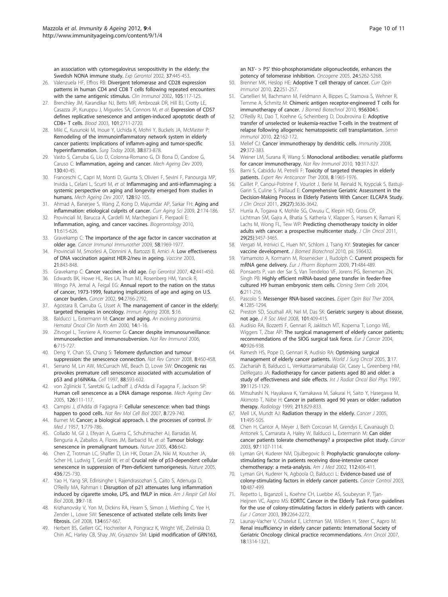<span id="page-9-0"></span>[an association with cytomegalovirus seropositivity in the elderly: the](http://www.ncbi.nlm.nih.gov/pubmed/11772532?dopt=Abstract) [Swedish NONA immune study.](http://www.ncbi.nlm.nih.gov/pubmed/11772532?dopt=Abstract) Exp Gerontol 2002, 37:445-453.

- 26. Valenzuela HF, Effros RB: [Divergent telomerase and CD28 expression](http://www.ncbi.nlm.nih.gov/pubmed/12482386?dopt=Abstract) [patterns in human CD4 and CD8 T cells following repeated encounters](http://www.ncbi.nlm.nih.gov/pubmed/12482386?dopt=Abstract) [with the same antigenic stimulus.](http://www.ncbi.nlm.nih.gov/pubmed/12482386?dopt=Abstract) Clin Immunol 2002, 105:117-125.
- 27. Brenchley JM, Karandikar NJ, Betts MR, Ambrozak DR, Hill BJ, Crotty LE, Casazza JP, Kuruppu J, Migueles SA, Connors M, et al: [Expression of CD57](http://www.ncbi.nlm.nih.gov/pubmed/12433688?dopt=Abstract) [defines replicative senescence and antigen-induced apoptotic death of](http://www.ncbi.nlm.nih.gov/pubmed/12433688?dopt=Abstract) [CD8+ T cells.](http://www.ncbi.nlm.nih.gov/pubmed/12433688?dopt=Abstract) Blood 2003, 101:2711-2720.
- 28. Miki C, Kusunoki M, Inoue Y, Uchida K, Mohri Y, Buckels JA, McMaster P: [Remodeling of the immunoinflammatory network system in elderly](http://www.ncbi.nlm.nih.gov/pubmed/18820860?dopt=Abstract) [cancer patients: implications of inflamm-aging and tumor-specific](http://www.ncbi.nlm.nih.gov/pubmed/18820860?dopt=Abstract) [hyperinflammation.](http://www.ncbi.nlm.nih.gov/pubmed/18820860?dopt=Abstract) Surg Today 2008, 38:873-878.
- 29. Vasto S, Carruba G, Lio D, Colonna-Romano G, Di Bona D, Candore G, Caruso C: [Inflammation, ageing and cancer.](http://www.ncbi.nlm.nih.gov/pubmed/18671998?dopt=Abstract) Mech Ageing Dev 2009, 130:40-45.
- 30. Franceschi C, Capri M, Monti D, Giunta S, Olivieri F, Sevini F, Panourgia MP, Invidia L, Celani L, Scurti M, et al: [Inflammaging and anti-inflammaging: a](http://www.ncbi.nlm.nih.gov/pubmed/17116321?dopt=Abstract) [systemic perspective on aging and longevity emerged from studies in](http://www.ncbi.nlm.nih.gov/pubmed/17116321?dopt=Abstract) [humans.](http://www.ncbi.nlm.nih.gov/pubmed/17116321?dopt=Abstract) Mech Ageing Dev 2007, 128:92-105.
- 31. Ahmad A, Banerjee S, Wang Z, Kong D, Majumdar AP, Sarkar FH: [Aging and](http://www.ncbi.nlm.nih.gov/pubmed/19997527?dopt=Abstract) [inflammation: etiological culprits of cancer.](http://www.ncbi.nlm.nih.gov/pubmed/19997527?dopt=Abstract) Curr Aging Sci 2009, 2:174-186.
- 32. Provinciali M, Barucca A, Cardelli M, Marchegiani F, Pierpaoli E: [Inflammation, aging, and cancer vaccines.](http://www.ncbi.nlm.nih.gov/pubmed/20455022?dopt=Abstract) Biogerontology 2010, 11:615-626.
- 33. Gravekamp C: [The importance of the age factor in cancer vaccination at](http://www.ncbi.nlm.nih.gov/pubmed/19259666?dopt=Abstract) [older age.](http://www.ncbi.nlm.nih.gov/pubmed/19259666?dopt=Abstract) Cancer Immunol Immunother 2009, 58:1969-1977.
- 34. Provinciali M, Smorlesi A, Donnini A, Bartozzi B, Amici A: [Low effectiveness](http://www.ncbi.nlm.nih.gov/pubmed/12547592?dopt=Abstract) [of DNA vaccination against HER-2/neu in ageing.](http://www.ncbi.nlm.nih.gov/pubmed/12547592?dopt=Abstract) Vaccine 2003, 21:843-848.
- 35. Gravekamp C: [Cancer vaccines in old age.](http://www.ncbi.nlm.nih.gov/pubmed/17197144?dopt=Abstract) Exp Gerontol 2007, 42:441-450.
- 36. Edwards BK, Howe HL, Ries LA, Thun MJ, Rosenberg HM, Yancik R, Wingo PA, Jemal A, Feigal EG: [Annual report to the nation on the status](http://www.ncbi.nlm.nih.gov/pubmed/12173348?dopt=Abstract) [of cancer, 1973-1999, featuring implications of age and aging on U.S.](http://www.ncbi.nlm.nih.gov/pubmed/12173348?dopt=Abstract) [cancer burden.](http://www.ncbi.nlm.nih.gov/pubmed/12173348?dopt=Abstract) Cancer 2002, 94:2766-2792.
- 37. Agostara B, Carruba G, Usset A: [The management of cancer in the elderly:](http://www.ncbi.nlm.nih.gov/pubmed/19116012?dopt=Abstract) [targeted therapies in oncology.](http://www.ncbi.nlm.nih.gov/pubmed/19116012?dopt=Abstract) Immun Ageing 2008, 5:16.
- 38. Balducci L, Extermann M: Cancer and aging. An evolving panorama. Hematol Oncol Clin North Am 2000, 14:1-16.
- 39. Zitvogel L, Tesniere A, Kroemer G: [Cancer despite immunosurveillance:](http://www.ncbi.nlm.nih.gov/pubmed/16977338?dopt=Abstract) [immunoselection and immunosubversion.](http://www.ncbi.nlm.nih.gov/pubmed/16977338?dopt=Abstract) Nat Rev Immunol 2006, 6:715-727.
- 40. Deng Y, Chan SS, Chang S: [Telomere dysfunction and tumour](http://www.ncbi.nlm.nih.gov/pubmed/18500246?dopt=Abstract) [suppression: the senescence connection.](http://www.ncbi.nlm.nih.gov/pubmed/18500246?dopt=Abstract) Nat Rev Cancer 2008, 8:450-458.
- 41. Serrano M, Lin AW, McCurrach ME, Beach D, Lowe SW: [Oncogenic ras](http://www.ncbi.nlm.nih.gov/pubmed/9054499?dopt=Abstract) [provokes premature cell senescence associated with accumulation of](http://www.ncbi.nlm.nih.gov/pubmed/9054499?dopt=Abstract) [p53 and p16INK4a.](http://www.ncbi.nlm.nih.gov/pubmed/9054499?dopt=Abstract) Cell 1997, 88:593-602.
- 42. von Zglinicki T, Saretzki G, Ladhoff J, d'Adda di Fagagna F, Jackson SP: [Human cell senescence as a DNA damage response.](http://www.ncbi.nlm.nih.gov/pubmed/15610769?dopt=Abstract) Mech Ageing Dev 2005, 126:111-117.
- 43. Campisi J, d'Adda di Fagagna F: [Cellular senescence: when bad things](http://www.ncbi.nlm.nih.gov/pubmed/17667954?dopt=Abstract) [happen to good cells.](http://www.ncbi.nlm.nih.gov/pubmed/17667954?dopt=Abstract) Nat Rev Mol Cell Biol 2007, 8:729-740.
- 44. Burnet M: [Cancer; a biological approach. I. the processes of control.](http://www.ncbi.nlm.nih.gov/pubmed/13404306?dopt=Abstract) Br Med J 1957, 1:779-786.
- 45. Collado M, Gil J, Efeyan A, Guerra C, Schuhmacher AJ, Barradas M, Benguria A, Zaballos A, Flores JM, Barbacid M, et al: [Tumour biology:](http://www.ncbi.nlm.nih.gov/pubmed/16079833?dopt=Abstract) [senescence in premalignant tumours.](http://www.ncbi.nlm.nih.gov/pubmed/16079833?dopt=Abstract) Nature 2005, 436:642.
- 46. Chen Z, Trotman LC, Shaffer D, Lin HK, Dotan ZA, Niki M, Koutcher JA, Scher HI, Ludwig T, Gerald W, et al: [Crucial role of p53-dependent cellular](http://www.ncbi.nlm.nih.gov/pubmed/16079851?dopt=Abstract) [senescence in suppression of Pten-deficient tumorigenesis.](http://www.ncbi.nlm.nih.gov/pubmed/16079851?dopt=Abstract) Nature 2005, 436:725-730.
- 47. Yao H, Yang SR, Edirisinghe I, Rajendrasozhan S, Caito S, Adenuga D, O'Reilly MA, Rahman I: [Disruption of p21 attenuates lung inflammation](http://www.ncbi.nlm.nih.gov/pubmed/18239191?dopt=Abstract) [induced by cigarette smoke, LPS, and fMLP in mice.](http://www.ncbi.nlm.nih.gov/pubmed/18239191?dopt=Abstract) Am J Respir Cell Mol Biol 2008, 39:7-18.
- 48. Krizhanovsky V, Yon M, Dickins RA, Hearn S, Simon J, Miething C, Yee H, Zender L, Lowe SW: [Senescence of activated stellate cells limits liver](http://www.ncbi.nlm.nih.gov/pubmed/18724938?dopt=Abstract) [fibrosis.](http://www.ncbi.nlm.nih.gov/pubmed/18724938?dopt=Abstract) Cell 2008, 134:657-667.
- 49. Herbert BS, Gellert GC, Hochreiter A, Pongracz K, Wright WE, Zielinska D, Chin AC, Harley CB, Shay JW, Gryaznov SM: [Lipid modification of GRN163,](http://www.ncbi.nlm.nih.gov/pubmed/15940257?dopt=Abstract)

an N3'- > P5' [thio-phosphoramidate oligonucleotide, enhances the](http://www.ncbi.nlm.nih.gov/pubmed/15940257?dopt=Abstract) [potency of telomerase inhibition.](http://www.ncbi.nlm.nih.gov/pubmed/15940257?dopt=Abstract) Oncogene 2005, 24:5262-5268.

- 50. Brenner MK, Heslop HE: [Adoptive T cell therapy of cancer.](http://www.ncbi.nlm.nih.gov/pubmed/20171074?dopt=Abstract) Curr Opin Immunol 2010, 22:251-257.
- 51. Cartellieri M, Bachmann M, Feldmann A, Bippes C, Stamova S, Wehner R, Temme A, Schmitz M: Chimeric antigen receptor-engineered T cells for immunotherapy of cancer. J Biomed Biotechnol 2010, 956304:5.
- 52. O'Reilly RJ, Dao T, Koehne G, Scheinberg D, Doubrovina E: [Adoptive](http://www.ncbi.nlm.nih.gov/pubmed/20537908?dopt=Abstract) [transfer of unselected or leukemia-reactive T-cells in the treatment of](http://www.ncbi.nlm.nih.gov/pubmed/20537908?dopt=Abstract) [relapse following allogeneic hematopoietic cell transplantation.](http://www.ncbi.nlm.nih.gov/pubmed/20537908?dopt=Abstract) Semin Immunol 2010, 22:162-172.
- 53. Melief CJ: [Cancer immunotherapy by dendritic cells.](http://www.ncbi.nlm.nih.gov/pubmed/18799145?dopt=Abstract) Immunity 2008, 29:372-383.
- 54. Weiner LM, Surana R, Wang S: [Monoclonal antibodies: versatile platforms](http://www.ncbi.nlm.nih.gov/pubmed/20414205?dopt=Abstract) [for cancer immunotherapy.](http://www.ncbi.nlm.nih.gov/pubmed/20414205?dopt=Abstract) Nat Rev Immunol 2010, 10:317-327.
- 55. Barni S, Cabiddu M, Petrelli F: [Toxicity of targeted therapies in elderly](http://www.ncbi.nlm.nih.gov/pubmed/19046116?dopt=Abstract) [patients.](http://www.ncbi.nlm.nih.gov/pubmed/19046116?dopt=Abstract) Expert Rev Anticancer Ther 2008, 8:1965-1976.
- 56. Caillet P, Canoui-Poitrine F, Vouriot J, Berle M, Reinald N, Krypciak S, Bastuji-Garin S, Culine S, Paillaud E: [Comprehensive Geriatric Assessment in the](http://www.ncbi.nlm.nih.gov/pubmed/21709194?dopt=Abstract) [Decision-Making Process in Elderly Patients With Cancer: ELCAPA Study.](http://www.ncbi.nlm.nih.gov/pubmed/21709194?dopt=Abstract) J Clin Oncol 2011, 29(27):3636-3642.
- 57. Hurria A, Togawa K, Mohile SG, Owusu C, Klepin HD, Gross CP, Lichtman SM, Gajra A, Bhatia S, Katheria V, Klapper S, Hansen K, Ramani R, Lachs M, Wong FL, Tew WP: [Predicting chemotherapy toxicity in older](http://www.ncbi.nlm.nih.gov/pubmed/21810685?dopt=Abstract) [adults with cancer: a prospective multicenter study.](http://www.ncbi.nlm.nih.gov/pubmed/21810685?dopt=Abstract) J Clin Oncol 2011, 29(25):3457-3465.
- 58. Vergati M, Intrivici C, Huen NY, Schlom J, Tsang KY: Strategies for cancer vaccine development. J Biomed Biotechnol 2010, pii: 596432.
- 59. Yamamoto A, Kormann M, Rosenecker J, Rudolph C: [Current prospects for](http://www.ncbi.nlm.nih.gov/pubmed/18948192?dopt=Abstract) [mRNA gene delivery.](http://www.ncbi.nlm.nih.gov/pubmed/18948192?dopt=Abstract) Eur J Pharm Biopharm 2009, 71:484-489.
- 60. Ponsaerts P, van der Sar S, Van Tendeloo VF, Jorens PG, Berneman ZN, Singh PB: [Highly efficient mRNA-based gene transfer in feeder-free](http://www.ncbi.nlm.nih.gov/pubmed/15671669?dopt=Abstract) [cultured H9 human embryonic stem cells.](http://www.ncbi.nlm.nih.gov/pubmed/15671669?dopt=Abstract) Cloning Stem Cells 2004, 6:211-216.
- 61. Pascolo S: [Messenger RNA-based vaccines.](http://www.ncbi.nlm.nih.gov/pubmed/15268662?dopt=Abstract) Expert Opin Biol Ther 2004, 4:1285-1294.
- 62. Preston SD, Southall AR, Nel M, Das SK: [Geriatric surgery is about disease,](http://www.ncbi.nlm.nih.gov/pubmed/18687864?dopt=Abstract) [not age.](http://www.ncbi.nlm.nih.gov/pubmed/18687864?dopt=Abstract) J R Soc Med 2008, 101:409-415.
- 63. Audisio RA, Bozzetti F, Gennari R, Jaklitsch MT, Koperna T, Longo WE, Wiggers T, Zbar AP: [The surgical management of elderly cancer patients;](http://www.ncbi.nlm.nih.gov/pubmed/15093567?dopt=Abstract) [recommendations of the SIOG surgical task force.](http://www.ncbi.nlm.nih.gov/pubmed/15093567?dopt=Abstract) Eur J Cancer 2004, 40:926-938.
- 64. Ramesh HS, Pope D, Gennari R, Audisio RA: [Optimising surgical](http://www.ncbi.nlm.nih.gov/pubmed/15788092?dopt=Abstract) [management of elderly cancer patients.](http://www.ncbi.nlm.nih.gov/pubmed/15788092?dopt=Abstract) World J Surg Oncol 2005, 3:17.
- Zachariah B, Balducci L, Venkattaramanabalaji GV, Casey L, Greenberg HM, DelRegato JA: [Radiotherapy for cancer patients aged 80 and older: a](http://www.ncbi.nlm.nih.gov/pubmed/9392554?dopt=Abstract) [study of effectiveness and side effects.](http://www.ncbi.nlm.nih.gov/pubmed/9392554?dopt=Abstract) Int J Radiat Oncol Biol Phys 1997, 39:1125-1129.
- 66. Mitsuhashi N, Hayakawa K, Yamakawa M, Sakurai H, Saito Y, Hasegawa M, Akimoto T, Niibe H: [Cancer in patients aged 90 years or older: radiation](http://www.ncbi.nlm.nih.gov/pubmed/10352612?dopt=Abstract) [therapy.](http://www.ncbi.nlm.nih.gov/pubmed/10352612?dopt=Abstract) Radiology 1999, 211:829-833.
- 67. Mell LK, Mundt AJ: [Radiation therapy in the elderly.](http://www.ncbi.nlm.nih.gov/pubmed/16393484?dopt=Abstract) Cancer J 2005, 11:495-505.
- 68. Chen H, Cantor A, Meyer J, Beth Corcoran M, Grendys E, Cavanaugh D, Antonek S, Camarata A, Haley W, Balducci L, Extermann M: [Can older](http://www.ncbi.nlm.nih.gov/pubmed/12569613?dopt=Abstract) [cancer patients tolerate chemotherapy? a prospective pilot study.](http://www.ncbi.nlm.nih.gov/pubmed/12569613?dopt=Abstract) Cancer 2003, 97:1107-1114.
- Lyman GH, Kuderer NM, Djulbegovic B: [Prophylactic granulocyte colony](http://www.ncbi.nlm.nih.gov/pubmed/11904116?dopt=Abstract)[stimulating factor in patients receiving dose-intensive cancer](http://www.ncbi.nlm.nih.gov/pubmed/11904116?dopt=Abstract) [chemotherapy: a meta-analysis.](http://www.ncbi.nlm.nih.gov/pubmed/11904116?dopt=Abstract) Am J Med 2002, 112:406-411.
- 70. Lyman GH, Kuderer N, Agboola O, Balducci L: [Evidence-based use of](http://www.ncbi.nlm.nih.gov/pubmed/14652525?dopt=Abstract) [colony-stimulating factors in elderly cancer patients.](http://www.ncbi.nlm.nih.gov/pubmed/14652525?dopt=Abstract) Cancer Control 2003, 10:487-499.
- 71. Repetto L, Biganzoli L, Koehne CH, Luebbe AS, Soubeyran P, Tjan-Heijnen VC, Aapro MS: [EORTC Cancer in the Elderly Task Force guidelines](http://www.ncbi.nlm.nih.gov/pubmed/14556916?dopt=Abstract) [for the use of colony-stimulating factors in elderly patients with cancer.](http://www.ncbi.nlm.nih.gov/pubmed/14556916?dopt=Abstract) Eur J Cancer 2003, 39:2264-2272.
- Launay-Vacher V, Chatelut E, Lichtman SM, Wildiers H, Steer C, Aapro M: [Renal insufficiency in elderly cancer patients: International Society of](http://www.ncbi.nlm.nih.gov/pubmed/17631561?dopt=Abstract) [Geriatric Oncology clinical practice recommendations.](http://www.ncbi.nlm.nih.gov/pubmed/17631561?dopt=Abstract) Ann Oncol 2007, 18:1314-1321.